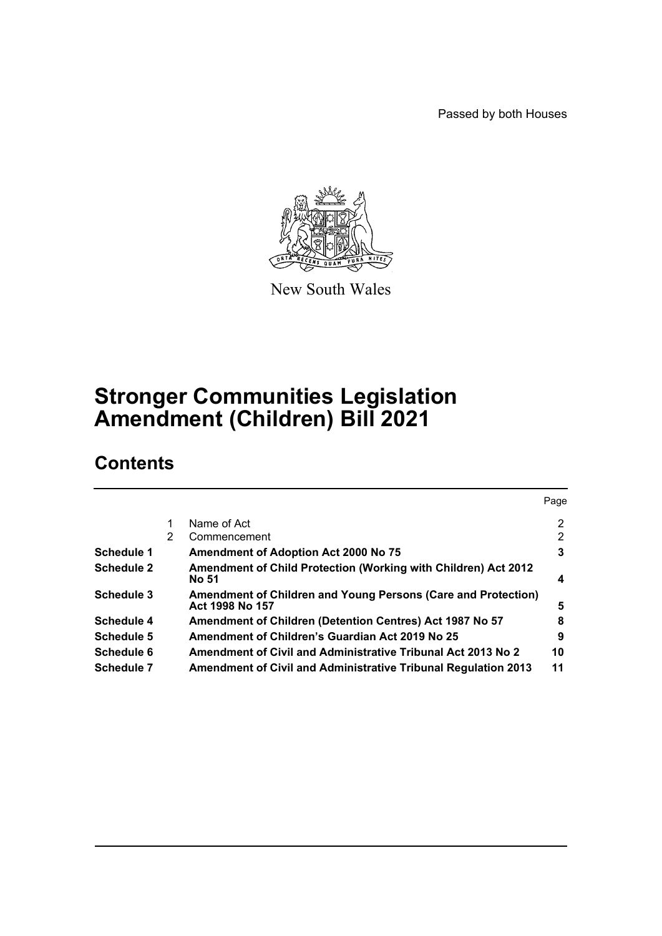Passed by both Houses



New South Wales

# **Stronger Communities Legislation Amendment (Children) Bill 2021**

# **Contents**

|                   |   |                                                                                  | Page           |
|-------------------|---|----------------------------------------------------------------------------------|----------------|
|                   |   | Name of Act                                                                      | $\overline{2}$ |
|                   | 2 | Commencement                                                                     | 2              |
| Schedule 1        |   | <b>Amendment of Adoption Act 2000 No 75</b>                                      | 3              |
| <b>Schedule 2</b> |   | Amendment of Child Protection (Working with Children) Act 2012<br><b>No 51</b>   | 4              |
| Schedule 3        |   | Amendment of Children and Young Persons (Care and Protection)<br>Act 1998 No 157 | 5              |
| Schedule 4        |   | Amendment of Children (Detention Centres) Act 1987 No 57                         | 8              |
| Schedule 5        |   | Amendment of Children's Guardian Act 2019 No 25                                  | 9              |
| Schedule 6        |   | Amendment of Civil and Administrative Tribunal Act 2013 No 2                     | 10             |
| <b>Schedule 7</b> |   | <b>Amendment of Civil and Administrative Tribunal Regulation 2013</b>            | 11             |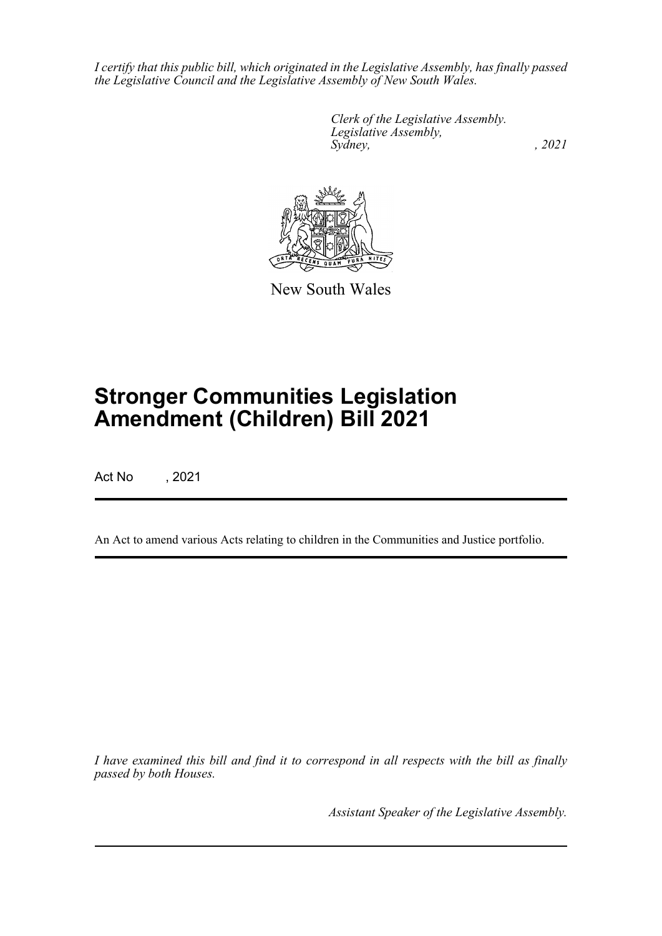*I certify that this public bill, which originated in the Legislative Assembly, has finally passed the Legislative Council and the Legislative Assembly of New South Wales.*

> *Clerk of the Legislative Assembly. Legislative Assembly, Sydney, , 2021*



New South Wales

# **Stronger Communities Legislation Amendment (Children) Bill 2021**

Act No , 2021

An Act to amend various Acts relating to children in the Communities and Justice portfolio.

*I have examined this bill and find it to correspond in all respects with the bill as finally passed by both Houses.*

*Assistant Speaker of the Legislative Assembly.*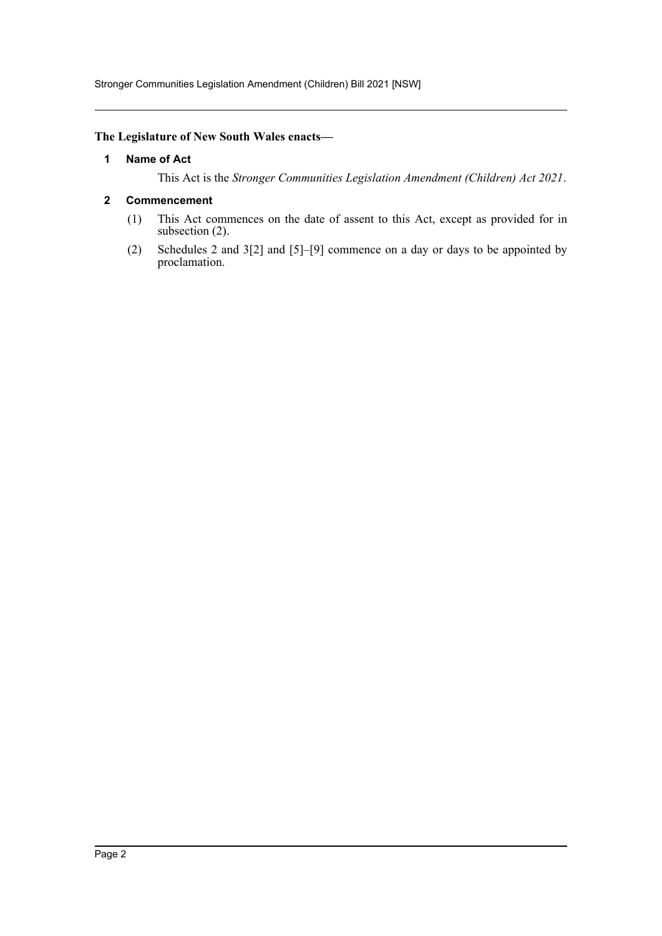# <span id="page-2-0"></span>**The Legislature of New South Wales enacts—**

#### **1 Name of Act**

This Act is the *Stronger Communities Legislation Amendment (Children) Act 2021*.

#### <span id="page-2-1"></span>**2 Commencement**

- (1) This Act commences on the date of assent to this Act, except as provided for in subsection (2).
- (2) Schedules 2 and 3[2] and [5]–[9] commence on a day or days to be appointed by proclamation.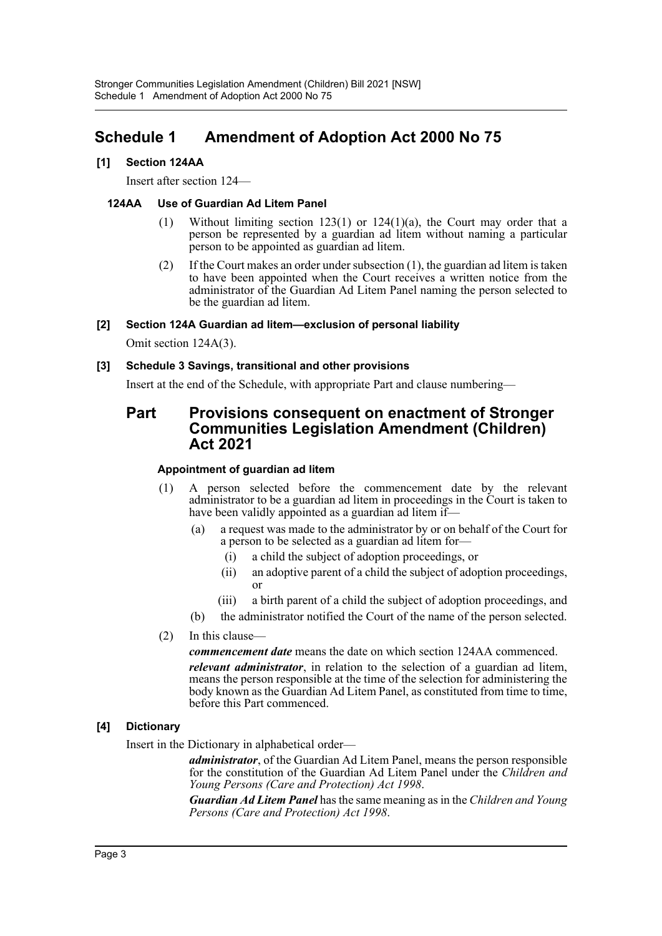# <span id="page-3-0"></span>**Schedule 1 Amendment of Adoption Act 2000 No 75**

## **[1] Section 124AA**

Insert after section 124—

## **124AA Use of Guardian Ad Litem Panel**

- (1) Without limiting section 123(1) or 124(1)(a), the Court may order that a person be represented by a guardian ad litem without naming a particular person to be appointed as guardian ad litem.
- (2) If the Court makes an order under subsection (1), the guardian ad litem is taken to have been appointed when the Court receives a written notice from the administrator of the Guardian Ad Litem Panel naming the person selected to be the guardian ad litem.

### **[2] Section 124A Guardian ad litem—exclusion of personal liability**

Omit section 124A(3).

### **[3] Schedule 3 Savings, transitional and other provisions**

Insert at the end of the Schedule, with appropriate Part and clause numbering—

# **Part Provisions consequent on enactment of Stronger Communities Legislation Amendment (Children) Act 2021**

#### **Appointment of guardian ad litem**

- (1) A person selected before the commencement date by the relevant administrator to be a guardian ad litem in proceedings in the Court is taken to have been validly appointed as a guardian ad litem if-
	- (a) a request was made to the administrator by or on behalf of the Court for a person to be selected as a guardian ad litem for—
		- (i) a child the subject of adoption proceedings, or
		- (ii) an adoptive parent of a child the subject of adoption proceedings, or
		- (iii) a birth parent of a child the subject of adoption proceedings, and
	- (b) the administrator notified the Court of the name of the person selected.
- (2) In this clause—

*commencement date* means the date on which section 124AA commenced.

*relevant administrator*, in relation to the selection of a guardian ad litem, means the person responsible at the time of the selection for administering the body known as the Guardian Ad Litem Panel, as constituted from time to time, before this Part commenced.

#### **[4] Dictionary**

Insert in the Dictionary in alphabetical order—

*administrator*, of the Guardian Ad Litem Panel, means the person responsible for the constitution of the Guardian Ad Litem Panel under the *Children and Young Persons (Care and Protection) Act 1998*.

*Guardian Ad Litem Panel* has the same meaning as in the *Children and Young Persons (Care and Protection) Act 1998*.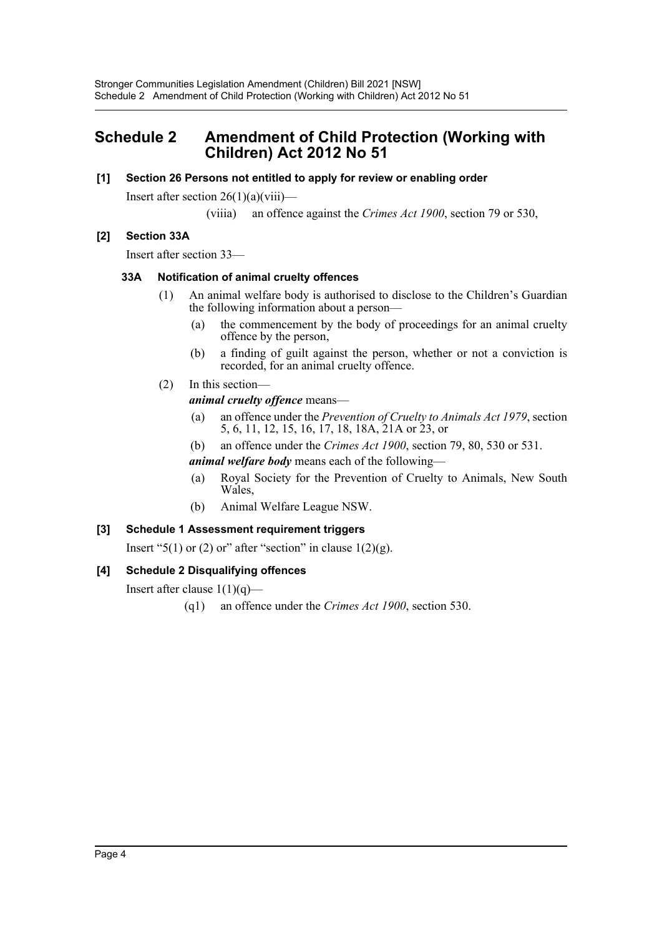# <span id="page-4-0"></span>**Schedule 2 Amendment of Child Protection (Working with Children) Act 2012 No 51**

## **[1] Section 26 Persons not entitled to apply for review or enabling order**

Insert after section  $26(1)(a)(viii)$ —

(viiia) an offence against the *Crimes Act 1900*, section 79 or 530,

# **[2] Section 33A**

Insert after section 33—

### **33A Notification of animal cruelty offences**

- (1) An animal welfare body is authorised to disclose to the Children's Guardian the following information about a person—
	- (a) the commencement by the body of proceedings for an animal cruelty offence by the person,
	- (b) a finding of guilt against the person, whether or not a conviction is recorded, for an animal cruelty offence.
- (2) In this section—

# *animal cruelty offence* means—

- (a) an offence under the *Prevention of Cruelty to Animals Act 1979*, section 5, 6, 11, 12, 15, 16, 17, 18, 18A, 21A or 23, or
- (b) an offence under the *Crimes Act 1900*, section 79, 80, 530 or 531.

*animal welfare body* means each of the following—

- (a) Royal Society for the Prevention of Cruelty to Animals, New South Wales,
- (b) Animal Welfare League NSW.

# **[3] Schedule 1 Assessment requirement triggers**

Insert "5(1) or (2) or" after "section" in clause  $1(2)(g)$ .

# **[4] Schedule 2 Disqualifying offences**

Insert after clause  $1(1)(q)$ —

(q1) an offence under the *Crimes Act 1900*, section 530.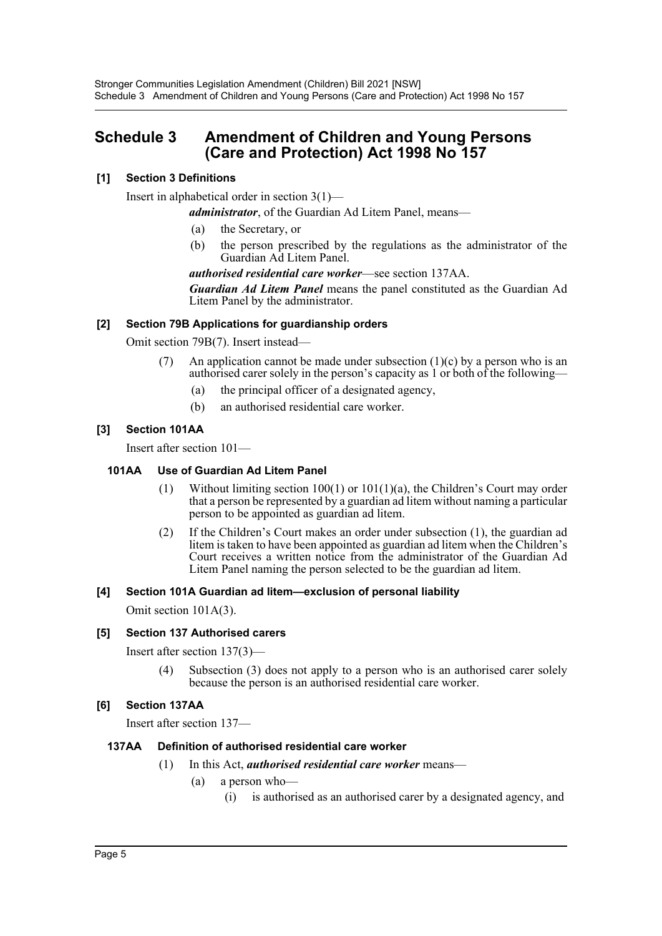# <span id="page-5-0"></span>**Schedule 3 Amendment of Children and Young Persons (Care and Protection) Act 1998 No 157**

# **[1] Section 3 Definitions**

Insert in alphabetical order in section 3(1)—

*administrator*, of the Guardian Ad Litem Panel, means—

- (a) the Secretary, or
- (b) the person prescribed by the regulations as the administrator of the Guardian Ad Litem Panel.

*authorised residential care worker*—see section 137AA.

*Guardian Ad Litem Panel* means the panel constituted as the Guardian Ad Litem Panel by the administrator.

# **[2] Section 79B Applications for guardianship orders**

Omit section 79B(7). Insert instead—

- An application cannot be made under subsection  $(1)(c)$  by a person who is an authorised carer solely in the person's capacity as 1 or both of the following—
	- (a) the principal officer of a designated agency,
	- (b) an authorised residential care worker.

# **[3] Section 101AA**

Insert after section 101—

#### **101AA Use of Guardian Ad Litem Panel**

- (1) Without limiting section 100(1) or 101(1)(a), the Children's Court may order that a person be represented by a guardian ad litem without naming a particular person to be appointed as guardian ad litem.
- (2) If the Children's Court makes an order under subsection (1), the guardian ad litem is taken to have been appointed as guardian ad litem when the Children's Court receives a written notice from the administrator of the Guardian Ad Litem Panel naming the person selected to be the guardian ad litem.

#### **[4] Section 101A Guardian ad litem—exclusion of personal liability**

Omit section 101A(3).

# **[5] Section 137 Authorised carers**

Insert after section 137(3)—

(4) Subsection (3) does not apply to a person who is an authorised carer solely because the person is an authorised residential care worker.

# **[6] Section 137AA**

Insert after section 137—

#### **137AA Definition of authorised residential care worker**

- (1) In this Act, *authorised residential care worker* means—
	- (a) a person who—
		- (i) is authorised as an authorised carer by a designated agency, and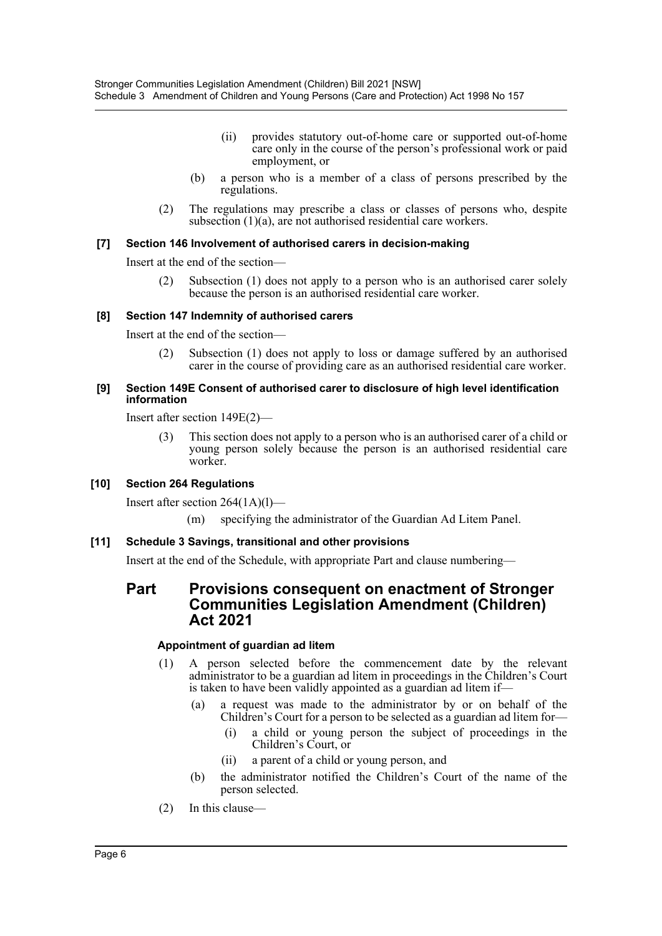- (ii) provides statutory out-of-home care or supported out-of-home care only in the course of the person's professional work or paid employment, or
- (b) a person who is a member of a class of persons prescribed by the regulations.
- (2) The regulations may prescribe a class or classes of persons who, despite subsection (1)(a), are not authorised residential care workers.

#### **[7] Section 146 Involvement of authorised carers in decision-making**

Insert at the end of the section—

(2) Subsection (1) does not apply to a person who is an authorised carer solely because the person is an authorised residential care worker.

### **[8] Section 147 Indemnity of authorised carers**

Insert at the end of the section—

(2) Subsection (1) does not apply to loss or damage suffered by an authorised carer in the course of providing care as an authorised residential care worker.

#### **[9] Section 149E Consent of authorised carer to disclosure of high level identification information**

Insert after section 149E(2)—

(3) This section does not apply to a person who is an authorised carer of a child or young person solely because the person is an authorised residential care worker.

# **[10] Section 264 Regulations**

Insert after section 264(1A)(l)—

(m) specifying the administrator of the Guardian Ad Litem Panel.

#### **[11] Schedule 3 Savings, transitional and other provisions**

Insert at the end of the Schedule, with appropriate Part and clause numbering—

# **Part Provisions consequent on enactment of Stronger Communities Legislation Amendment (Children) Act 2021**

#### **Appointment of guardian ad litem**

- (1) A person selected before the commencement date by the relevant administrator to be a guardian ad litem in proceedings in the Children's Court is taken to have been validly appointed as a guardian ad litem if—
	- (a) a request was made to the administrator by or on behalf of the Children's Court for a person to be selected as a guardian ad litem for—
		- (i) a child or young person the subject of proceedings in the Children's Court, or
		- (ii) a parent of a child or young person, and
	- (b) the administrator notified the Children's Court of the name of the person selected.
- (2) In this clause—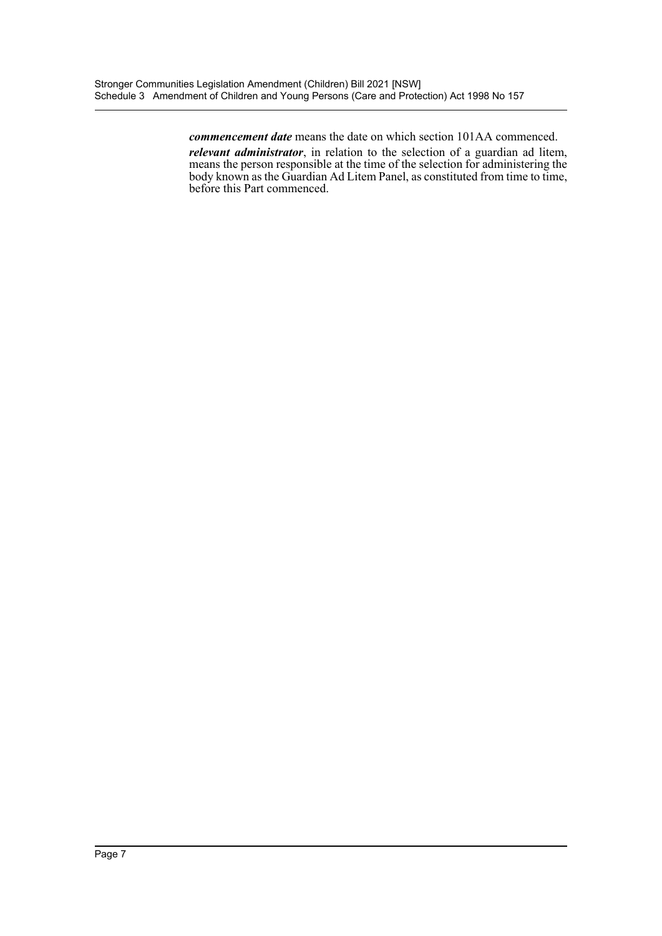*commencement date* means the date on which section 101AA commenced. *relevant administrator*, in relation to the selection of a guardian ad litem, means the person responsible at the time of the selection for administering the body known as the Guardian Ad Litem Panel, as constituted from time to time, before this Part commenced.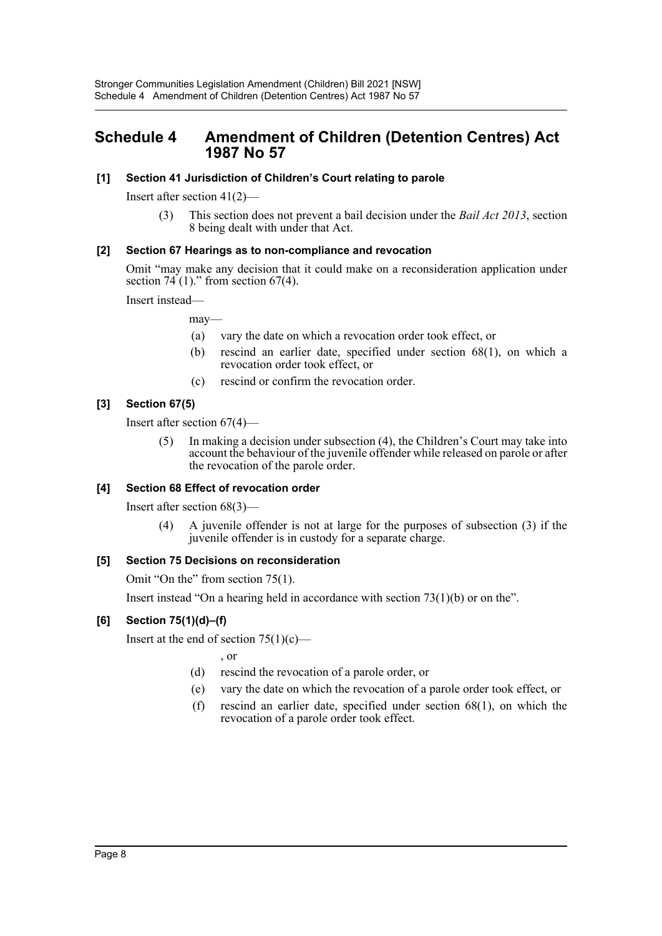# <span id="page-8-0"></span>**Schedule 4 Amendment of Children (Detention Centres) Act 1987 No 57**

### **[1] Section 41 Jurisdiction of Children's Court relating to parole**

Insert after section 41(2)—

(3) This section does not prevent a bail decision under the *Bail Act 2013*, section 8 being dealt with under that Act.

### **[2] Section 67 Hearings as to non-compliance and revocation**

Omit "may make any decision that it could make on a reconsideration application under section  $74(1)$ ." from section  $67(4)$ .

Insert instead—

may—

- (a) vary the date on which a revocation order took effect, or
- (b) rescind an earlier date, specified under section 68(1), on which a revocation order took effect, or
- (c) rescind or confirm the revocation order.

### **[3] Section 67(5)**

Insert after section 67(4)—

(5) In making a decision under subsection (4), the Children's Court may take into account the behaviour of the juvenile offender while released on parole or after the revocation of the parole order.

#### **[4] Section 68 Effect of revocation order**

Insert after section 68(3)—

(4) A juvenile offender is not at large for the purposes of subsection (3) if the juvenile offender is in custody for a separate charge.

#### **[5] Section 75 Decisions on reconsideration**

Omit "On the" from section 75(1).

Insert instead "On a hearing held in accordance with section  $73(1)(b)$  or on the".

# **[6] Section 75(1)(d)–(f)**

Insert at the end of section  $75(1)(c)$ —

, or

- (d) rescind the revocation of a parole order, or
- (e) vary the date on which the revocation of a parole order took effect, or
- (f) rescind an earlier date, specified under section 68(1), on which the revocation of a parole order took effect.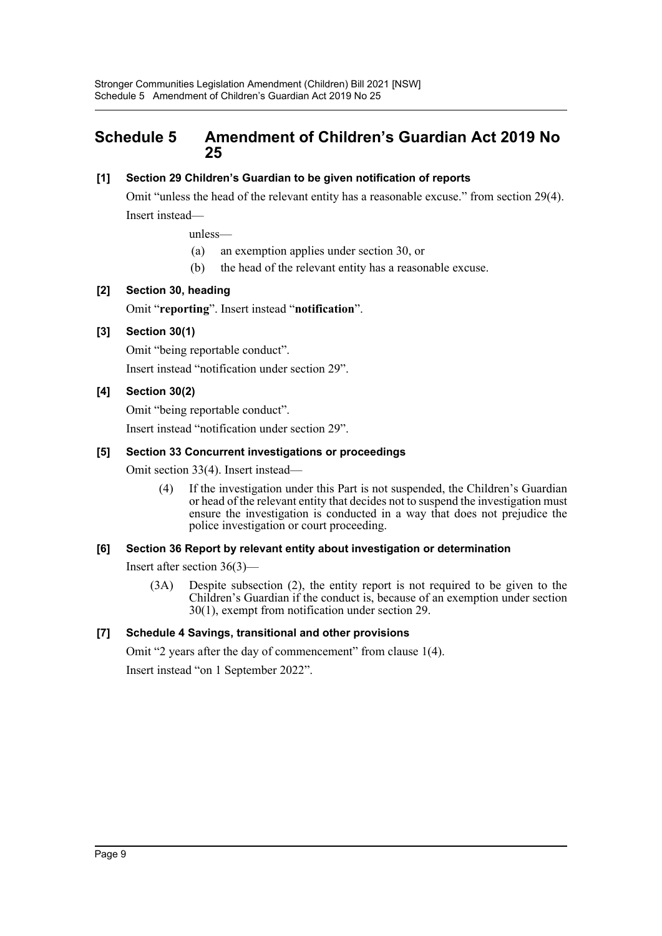# <span id="page-9-0"></span>**Schedule 5 Amendment of Children's Guardian Act 2019 No 25**

# **[1] Section 29 Children's Guardian to be given notification of reports**

Omit "unless the head of the relevant entity has a reasonable excuse." from section 29(4). Insert instead—

unless—

- (a) an exemption applies under section 30, or
- (b) the head of the relevant entity has a reasonable excuse.

# **[2] Section 30, heading**

Omit "**reporting**". Insert instead "**notification**".

# **[3] Section 30(1)**

Omit "being reportable conduct". Insert instead "notification under section 29".

# **[4] Section 30(2)**

Omit "being reportable conduct". Insert instead "notification under section 29".

### **[5] Section 33 Concurrent investigations or proceedings**

Omit section 33(4). Insert instead—

(4) If the investigation under this Part is not suspended, the Children's Guardian or head of the relevant entity that decides not to suspend the investigation must ensure the investigation is conducted in a way that does not prejudice the police investigation or court proceeding.

#### **[6] Section 36 Report by relevant entity about investigation or determination**

Insert after section 36(3)—

(3A) Despite subsection (2), the entity report is not required to be given to the Children's Guardian if the conduct is, because of an exemption under section 30(1), exempt from notification under section 29.

# **[7] Schedule 4 Savings, transitional and other provisions**

Omit "2 years after the day of commencement" from clause 1(4). Insert instead "on 1 September 2022".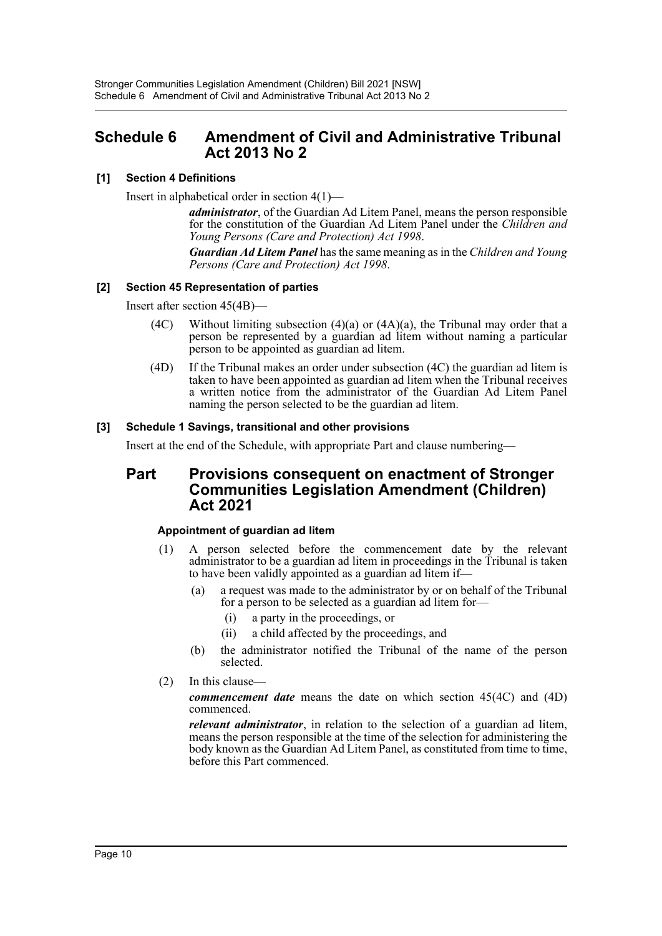# <span id="page-10-0"></span>**Schedule 6 Amendment of Civil and Administrative Tribunal Act 2013 No 2**

# **[1] Section 4 Definitions**

Insert in alphabetical order in section 4(1)—

*administrator*, of the Guardian Ad Litem Panel, means the person responsible for the constitution of the Guardian Ad Litem Panel under the *Children and Young Persons (Care and Protection) Act 1998*.

*Guardian Ad Litem Panel* has the same meaning as in the *Children and Young Persons (Care and Protection) Act 1998*.

# **[2] Section 45 Representation of parties**

Insert after section 45(4B)—

- (4C) Without limiting subsection  $(4)(a)$  or  $(4A)(a)$ , the Tribunal may order that a person be represented by a guardian ad litem without naming a particular person to be appointed as guardian ad litem.
- (4D) If the Tribunal makes an order under subsection (4C) the guardian ad litem is taken to have been appointed as guardian ad litem when the Tribunal receives a written notice from the administrator of the Guardian Ad Litem Panel naming the person selected to be the guardian ad litem.

# **[3] Schedule 1 Savings, transitional and other provisions**

Insert at the end of the Schedule, with appropriate Part and clause numbering—

# **Part Provisions consequent on enactment of Stronger Communities Legislation Amendment (Children) Act 2021**

# **Appointment of guardian ad litem**

- (1) A person selected before the commencement date by the relevant administrator to be a guardian ad litem in proceedings in the Tribunal is taken to have been validly appointed as a guardian ad litem if—
	- (a) a request was made to the administrator by or on behalf of the Tribunal for a person to be selected as a guardian ad litem for—
		- (i) a party in the proceedings, or
		- (ii) a child affected by the proceedings, and
	- (b) the administrator notified the Tribunal of the name of the person selected.
- (2) In this clause—

*commencement date* means the date on which section 45(4C) and (4D) commenced.

*relevant administrator*, in relation to the selection of a guardian ad litem, means the person responsible at the time of the selection for administering the body known as the Guardian Ad Litem Panel, as constituted from time to time, before this Part commenced.